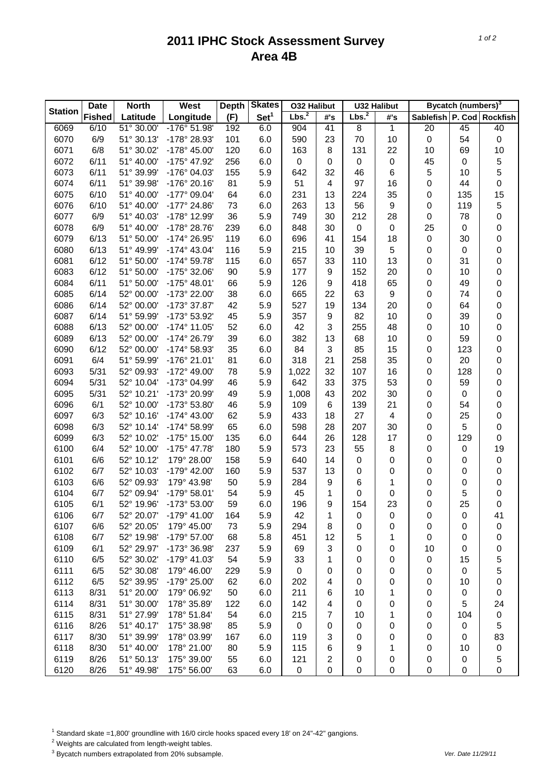## **2011 IPHC Stock Assessment Survey Area 4B**

|                | <b>North</b><br><b>Date</b> |            | <b>West</b>           | <b>Depth</b> | <b>Skates</b>    | <b>032 Halibut</b> |             | <b>U32 Halibut</b> |              | Bycatch (numbers) <sup>3</sup> |           |             |
|----------------|-----------------------------|------------|-----------------------|--------------|------------------|--------------------|-------------|--------------------|--------------|--------------------------------|-----------|-------------|
| <b>Station</b> | <b>Fished</b>               | Latitude   | Longitude             | (F)          | Set <sup>1</sup> | Lbs. <sup>2</sup>  | #'s         | Lbs. <sup>2</sup>  | #'s          | Sablefish P. Cod Rockfish      |           |             |
| 6069           | 6/10                        | 51° 30.00' | -176° 51.98'          | 192          | 6.0              | 904                | 41          | 8                  | $\mathbf{1}$ | 20                             | 45        | 40          |
| 6070           | 6/9                         | 51° 30.13' | -178° 28.93'          | 101          | 6.0              | 590                | 23          | 70                 | 10           | $\pmb{0}$                      | 54        | $\pmb{0}$   |
| 6071           | 6/8                         | 51° 30.02' | -178° 45.00'          | 120          | 6.0              | 163                | 8           | 131                | 22           | 10                             | 69        | 10          |
| 6072           | 6/11                        | 51° 40.00' | -175° 47.92'          | 256          | 6.0              | 0                  | $\mathbf 0$ | $\pmb{0}$          | $\pmb{0}$    | 45                             | 0         | 5           |
| 6073           | 6/11                        | 51° 39.99' | -176° 04.03'          | 155          | 5.9              | 642                | 32          | 46                 | 6            | 5                              | 10        | 5           |
| 6074           | 6/11                        | 51° 39.98' | $-176^{\circ} 20.16'$ | 81           | 5.9              | 51                 | 4           | 97                 | 16           | 0                              | 44        | 0           |
| 6075           | 6/10                        | 51° 40.00' | -177° 09.04'          | 64           | 6.0              | 231                | 13          | 224                | 35           | 0                              | 135       | 15          |
| 6076           | 6/10                        | 51° 40.00' | -177° 24.86'          | 73           | 6.0              | 263                | 13          | 56                 | 9            | 0                              | 119       | 5           |
| 6077           | 6/9                         | 51° 40.03' | -178° 12.99'          | 36           | 5.9              | 749                | 30          | 212                | 28           | 0                              | 78        | 0           |
| 6078           | 6/9                         | 51° 40.00' | -178° 28.76'          | 239          | 6.0              | 848                | 30          | 0                  | 0            | 25                             | 0         | 0           |
| 6079           | 6/13                        | 51° 50.00' | -174° 26.95'          | 119          | 6.0              | 696                | 41          | 154                | 18           | 0                              | 30        | 0           |
| 6080           | 6/13                        | 51° 49.99' | $-174^{\circ}$ 43.04' | 116          | 5.9              | 215                | 10          | 39                 | 5            | 0                              | $\pmb{0}$ | 0           |
| 6081           | 6/12                        | 51° 50.00' | -174° 59.78'          | 115          | 6.0              | 657                | 33          | 110                | 13           | 0                              | 31        | 0           |
| 6083           | 6/12                        | 51° 50.00' | -175° 32.06'          | 90           | 5.9              | 177                | 9           | 152                | 20           | 0                              | 10        | 0           |
| 6084           | 6/11                        | 51° 50.00' | $-175^{\circ}$ 48.01' | 66           | 5.9              | 126                | 9           | 418                | 65           | 0                              | 49        | 0           |
| 6085           | 6/14                        | 52° 00.00' | -173° 22.00'          | 38           | 6.0              | 665                | 22          | 63                 | 9            | 0                              | 74        | 0           |
| 6086           | 6/14                        | 52° 00.00' | -173° 37.87'          | 42           | 5.9              | 527                | 19          | 134                | 20           | 0                              | 64        | 0           |
| 6087           | 6/14                        | 51° 59.99' | -173° 53.92'          | 45           | 5.9              | 357                | 9           | 82                 | 10           | 0                              | 39        | 0           |
| 6088           | 6/13                        | 52° 00.00' | $-174^{\circ}$ 11.05' | 52           | 6.0              | 42                 | 3           | 255                | 48           | 0                              | 10        | 0           |
| 6089           | 6/13                        | 52° 00.00' | -174° 26.79'          | 39           | 6.0              | 382                | 13          | 68                 | 10           | 0                              | 59        | 0           |
| 6090           | 6/12                        | 52° 00.00' | -174° 58.93'          | 35           | 6.0              | 84                 | 3           | 85                 | 15           | 0                              | 123       | 0           |
| 6091           | 6/4                         | 51° 59.99' | -176° 21.01'          | 81           | 6.0              | 318                | 21          | 258                | 35           | 0                              | 20        | 0           |
| 6093           | 5/31                        | 52° 09.93' | -172° 49.00'          | 78           | 5.9              | 1,022              | 32          | 107                | 16           | 0                              | 128       | 0           |
| 6094           | 5/31                        | 52° 10.04' | -173° 04.99'          | 46           | 5.9              | 642                | 33          | 375                | 53           | 0                              | 59        | 0           |
| 6095           | 5/31                        | 52° 10.21' | -173° 20.99'          | 49           | 5.9              | 1,008              | 43          | 202                | 30           | 0                              | 0         | 0           |
| 6096           | 6/1                         | 52° 10.00' | -173° 53.80'          | 46           | 5.9              | 109                | 6           | 139                | 21           | 0                              | 54        | 0           |
| 6097           | 6/3                         | 52° 10.16' | $-174^{\circ}$ 43.00' | 62           | 5.9              | 433                | 18          | 27                 | 4            | 0                              | 25        | 0           |
| 6098           | 6/3                         | 52° 10.14' | -174° 58.99'          | 65           | 6.0              | 598                | 28          | 207                | 30           | 0                              | 5         | 0           |
| 6099           | 6/3                         | 52° 10.02' | $-175^{\circ}$ 15.00' | 135          | 6.0              | 644                | 26          | 128                | 17           | 0                              | 129       | 0           |
| 6100           | 6/4                         | 52° 10.00' | $-175^{\circ}$ 47.78' | 180          | 5.9              | 573                | 23          | 55                 | 8            | 0                              | 0         | 19          |
| 6101           | 6/6                         | 52° 10.12' | 179° 28.00'           | 158          | 5.9              | 640                | 14          | 0                  | 0            | 0                              | 0         | $\mathbf 0$ |
| 6102           | 6/7                         | 52° 10.03' | $-179°$ 42.00         | 160          | 5.9              | 537                | 13          | 0                  | 0            | 0                              | 0         | 0           |
| 6103           | 6/6                         | 52° 09.93' | 179° 43.98'           | 50           | 5.9              | 284                | 9           | 6                  | 1            | 0                              | 0         | 0           |
| 6104           | 6/7                         | 52° 09.94' | -179° 58.01'          | 54           | 5.9              | 45                 | 1           | 0                  | 0            | 0                              | 5         | 0           |
| 6105           | 6/1                         | 52° 19.96' | -173° 53.00'          | 59           | 6.0              | 196                | 9           | 154                | 23           | $\mathbf 0$                    | 25        | 0           |
| 6106           | 6/7                         | 52° 20.07' | $-179°$ 41.00         | 164          | 5.9              | 42                 | 1           | 0                  | 0            | 0                              | 0         | 41          |
| 6107           | 6/6                         | 52° 20.05' | 179° 45.00'           | 73           | 5.9              | 294                | 8           | 0                  | 0            | 0                              | 0         | 0           |
| 6108           | 6/7                         | 52° 19.98' | $-179°57.00'$         | 68           | 5.8              | 451                | 12          | 5                  | 1            | 0                              | 0         | 0           |
| 6109           | 6/1                         | 52° 29.97' | -173° 36.98'          | 237          | 5.9              | 69                 | 3           | 0                  | 0            | 10                             | 0         | 0           |
| 6110           | 6/5                         | 52° 30.02' | -179° 41.03'          | 54           | 5.9              | 33                 | 1           | 0                  | 0            | 0                              | 15        | 5           |
| 6111           | 6/5                         | 52° 30.08' | 179° 46.00'           | 229          | 5.9              | $\boldsymbol{0}$   | 0           | 0                  | 0            | 0                              | $\pmb{0}$ | 5           |
| 6112           | 6/5                         | 52° 39.95' | -179° 25.00'          | 62           | 6.0              | 202                | 4           | 0                  | 0            | 0                              | 10        | 0           |
| 6113           | 8/31                        | 51° 20.00' | 179° 06.92'           | 50           | 6.0              | 211                | 6           | 10                 | 1            | 0                              | 0         | 0           |
| 6114           | 8/31                        | 51° 30.00' | 178° 35.89'           | 122          | 6.0              | 142                | 4           | 0                  | 0            | 0                              | 5         | 24          |
| 6115           | 8/31                        | 51° 27.99' | 178° 51.84'           | 54           | 6.0              | 215                | 7           | 10                 | 1            | 0                              | 104       | $\pmb{0}$   |
| 6116           | 8/26                        | 51° 40.17' | 175° 38.98'           | 85           | 5.9              | $\pmb{0}$          | 0           | 0                  | 0            | 0                              | 0         | 5           |
| 6117           | 8/30                        | 51° 39.99' | 178° 03.99'           | 167          | 6.0              | 119                | 3           | 0                  | 0            | 0                              | 0         | 83          |
| 6118           | 8/30                        | 51° 40.00' | 178° 21.00'           | 80           | 5.9              | 115                | 6           | 9                  | 1            | 0                              | 10        | $\pmb{0}$   |
| 6119           | 8/26                        | 51° 50.13' | 175° 39.00'           | 55           | 6.0              | 121                | 2           | 0                  | 0            | 0                              | 0         | 5           |
| 6120           | 8/26                        | 51° 49.98' | 175° 56.00'           | 63           | 6.0              | 0                  | 0           | 0                  | 0            | 0                              | 0         | 0           |

<sup>1</sup> Standard skate =1,800' groundline with 16/0 circle hooks spaced every 18' on 24"-42" gangions.

2 Weights are calculated from length-weight tables.

3 Bycatch numbers extrapolated from 20% subsample. *Ver. Date 11/29/11*